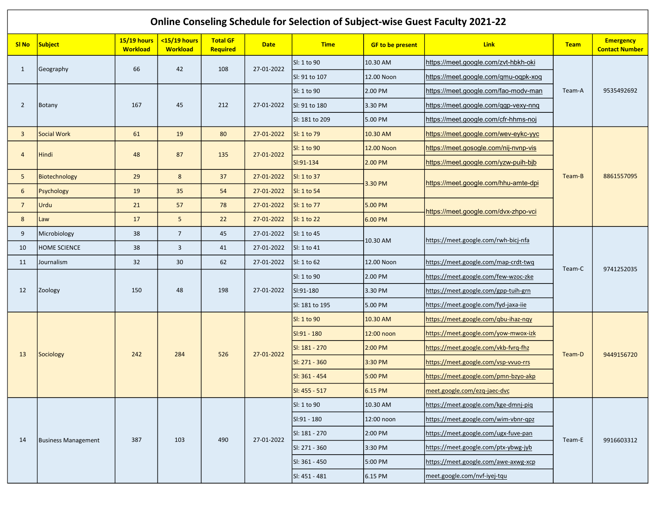| <b>Online Conseling Schedule for Selection of Subject-wise Guest Faculty 2021-22</b> |                            |                                       |                                 |                             |             |                |                         |                                       |             |                                           |
|--------------------------------------------------------------------------------------|----------------------------|---------------------------------------|---------------------------------|-----------------------------|-------------|----------------|-------------------------|---------------------------------------|-------------|-------------------------------------------|
| SI No                                                                                | Subject                    | <b>15/19 hours</b><br><b>Workload</b> | <15/19 hours<br><b>Workload</b> | <b>Total GF</b><br>Required | <b>Date</b> | <b>Time</b>    | <b>GF to be present</b> | <b>Link</b>                           | <b>Team</b> | <b>Emergency</b><br><b>Contact Number</b> |
| $\mathbf{1}$                                                                         |                            | 66                                    | 42                              | 108                         | 27-01-2022  | SI: 1 to 90    | 10.30 AM                | https://meet.google.com/zvt-hbkh-oki  |             | 9535492692                                |
|                                                                                      | Geography                  |                                       |                                 |                             |             | SI: 91 to 107  | 12.00 Noon              | https://meet.google.com/gmu-ogpk-xog  |             |                                           |
|                                                                                      |                            |                                       |                                 |                             |             | SI: 1 to 90    | 2.00 PM                 | https://meet.google.com/fao-modv-man  | Team-A      |                                           |
| $\overline{2}$                                                                       | Botany                     | 167                                   | 45                              | 212                         | 27-01-2022  | SI: 91 to 180  | 3.30 PM                 | https://meet.google.com/qgp-vexy-nnq  |             |                                           |
|                                                                                      |                            |                                       |                                 |                             |             | SI: 181 to 209 | 5.00 PM                 | https://meet.google.com/cfr-hhms-noj  |             |                                           |
| 3                                                                                    | Social Work                | 61                                    | 19                              | 80                          | 27-01-2022  | SI: 1 to 79    | 10.30 AM                | https://meet.google.com/wev-eykc-yyc  |             |                                           |
| $\overline{4}$                                                                       | Hindi                      | 48                                    | 87                              | 135                         | 27-01-2022  | SI: 1 to 90    | 12.00 Noon              | https://meet.gosogle.com/nij-nvnp-vis |             | 8861557095                                |
|                                                                                      |                            |                                       |                                 |                             |             | SI:91-134      | 2.00 PM                 | https://meet.google.com/yzw-puih-bjb  |             |                                           |
| 5                                                                                    | Biotechnology              | 29                                    | 8                               | 37                          | 27-01-2022  | SI: 1 to 37    | 3.30 PM                 | https://meet.google.com/hhu-amte-dpi  | Team-B      |                                           |
| 6                                                                                    | Psychology                 | 19                                    | 35                              | 54                          | 27-01-2022  | SI: 1 to 54    |                         |                                       |             |                                           |
| $\overline{7}$                                                                       | Urdu                       | 21                                    | 57                              | 78                          | 27-01-2022  | SI: 1 to 77    | 5.00 PM                 | https://meet.google.com/dvx-zhpo-vci  |             |                                           |
| $\boldsymbol{8}$                                                                     | Law                        | 17                                    | 5                               | 22                          | 27-01-2022  | SI: 1 to 22    | 6.00 PM                 |                                       |             |                                           |
| 9                                                                                    | Microbiology               | 38                                    | $\overline{7}$                  | 45                          | 27-01-2022  | SI: 1 to 45    | 10.30 AM                | https://meet.google.com/rwh-bicj-nfa  | Team-C      | 9741252035                                |
| 10                                                                                   | <b>HOME SCIENCE</b>        | 38                                    | $\overline{\mathbf{3}}$         | 41                          | 27-01-2022  | SI: 1 to 41    |                         |                                       |             |                                           |
| 11                                                                                   | Journalism                 | 32                                    | 30                              | 62                          | 27-01-2022  | SI: 1 to 62    | 12.00 Noon              | https://meet.google.com/map-crdt-twq  |             |                                           |
|                                                                                      | Zoology                    | 150                                   | 48                              |                             | 27-01-2022  | SI: 1 to 90    | 2.00 PM                 | https://meet.google.com/few-wzoc-zke  |             |                                           |
| 12                                                                                   |                            |                                       |                                 | 198                         |             | SI:91-180      | 3.30 PM                 | https://meet.google.com/gpp-tuih-grn  |             |                                           |
|                                                                                      |                            |                                       |                                 |                             |             | SI: 181 to 195 | 5.00 PM                 | https://meet.google.com/fyd-jaxa-iie  |             |                                           |
|                                                                                      |                            |                                       |                                 |                             |             | SI: 1 to 90    | 10.30 AM                | https://meet.google.com/qbu-ihaz-nqy  | Team-D      | 9449156720                                |
|                                                                                      |                            |                                       |                                 |                             | 27-01-2022  | $SI:91 - 180$  | 12:00 noon              | https://meet.google.com/yow-mwox-izk  |             |                                           |
| 13                                                                                   |                            | 242                                   | 284                             |                             |             | SI: 181 - 270  | 2:00 PM                 | https://meet.google.com/vkb-fvrq-fhz  |             |                                           |
|                                                                                      | Sociology                  |                                       |                                 | 526                         |             | SI: 271 - 360  | 3:30 PM                 | https://meet.google.com/vsp-vvuo-rrs  |             |                                           |
|                                                                                      |                            |                                       |                                 |                             |             | SI: 361 - 454  | 5:00 PM                 | https://meet.google.com/pmn-bzyo-akp  |             |                                           |
|                                                                                      |                            |                                       |                                 |                             |             | SI: 455 - 517  | 6.15 PM                 | meet.google.com/ezq-jaec-dvc          |             |                                           |
|                                                                                      |                            |                                       |                                 |                             |             | SI: 1 to 90    | 10.30 AM                | https://meet.google.com/kge-dmnj-piq  |             |                                           |
|                                                                                      |                            |                                       |                                 | 490                         |             | SI:91 - 180    | 12:00 noon              | https://meet.google.com/wim-vbnr-qpz  |             |                                           |
|                                                                                      |                            | 387                                   |                                 |                             | 27-01-2022  | SI: 181 - 270  | 2:00 PM                 | https://meet.google.com/ugx-fuve-pan  | Team-E      |                                           |
| 14                                                                                   | <b>Business Management</b> |                                       | 103                             |                             |             | SI: 271 - 360  | 3:30 PM                 | https://meet.google.com/ptx-ybwg-jyb  |             | 9916603312                                |
|                                                                                      |                            |                                       |                                 |                             |             | SI: 361 - 450  | 5:00 PM                 | https://meet.google.com/awe-axwg-xcp  |             |                                           |
|                                                                                      |                            |                                       |                                 |                             |             | SI: 451 - 481  | 6.15 PM                 | meet.google.com/nvf-iyej-tqu          |             |                                           |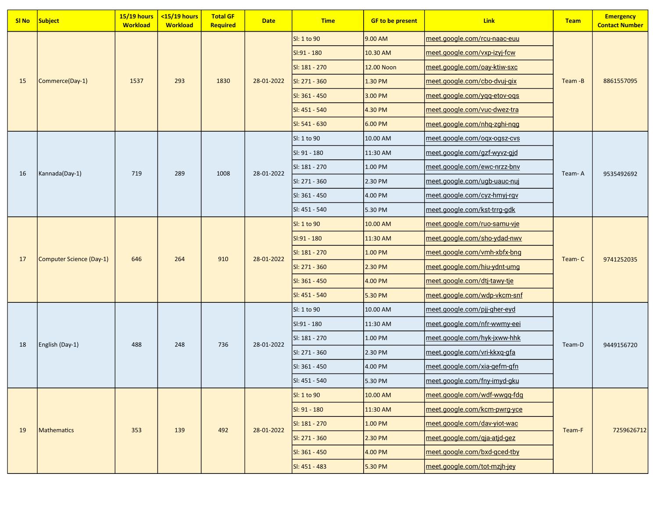| SI No | Subject                         | <b>15/19 hours</b><br><b>Workload</b> | <15/19 hours<br><b>Workload</b> | <b>Total GF</b><br>Required | <b>Date</b> | <b>Time</b>                                                                                                                        | <b>GF to be present</b> | <b>Link</b>                  | <b>Team</b> | <b>Emergency</b><br><b>Contact Number</b>                          |
|-------|---------------------------------|---------------------------------------|---------------------------------|-----------------------------|-------------|------------------------------------------------------------------------------------------------------------------------------------|-------------------------|------------------------------|-------------|--------------------------------------------------------------------|
|       | Commerce(Day-1)                 |                                       |                                 |                             |             | SI: 1 to 90                                                                                                                        | 9.00 AM                 | meet.google.com/rcu-naac-euu |             |                                                                    |
| 15    |                                 |                                       |                                 |                             |             | SI:91 - 180                                                                                                                        | 10.30 AM                | meet.google.com/vxp-izyj-fcw |             |                                                                    |
|       |                                 |                                       |                                 |                             |             | SI: 181 - 270                                                                                                                      | 12.00 Noon              | meet.google.com/oay-ktiw-sxc |             | 8861557095<br>9535492692<br>9741252035<br>9449156720<br>7259626712 |
|       |                                 | 1537                                  | 293                             | 1830                        | 28-01-2022  | SI: 271 - 360                                                                                                                      | 1.30 PM                 | meet.google.com/cbo-dvuj-gix | Team-B      |                                                                    |
|       |                                 |                                       |                                 |                             |             | SI: 361 - 450                                                                                                                      | 3.00 PM                 | meet.google.com/ygg-etov-ogs |             |                                                                    |
|       |                                 |                                       |                                 |                             |             | SI: 451 - 540                                                                                                                      | 4.30 PM                 | meet.google.com/vuc-dwez-tra |             |                                                                    |
|       |                                 |                                       |                                 |                             |             | SI: 541 - 630                                                                                                                      | 6.00 PM                 | meet.google.com/nhq-zghi-nqg |             |                                                                    |
|       |                                 |                                       |                                 |                             | 28-01-2022  | SI: 1 to 90                                                                                                                        | 10.00 AM                | meet.google.com/oqx-ogsz-cvs |             |                                                                    |
|       |                                 |                                       |                                 |                             |             | SI: 91 - 180                                                                                                                       | 11:30 AM                | meet.google.com/gzf-wyvz-gjd |             |                                                                    |
| 16    |                                 |                                       |                                 | 1008                        |             | SI: 181 - 270                                                                                                                      | 1.00 PM                 | meet.google.com/ewc-nrzz-bnv |             |                                                                    |
|       | Kannada(Day-1)                  | 719                                   | 289                             |                             |             | SI: 271 - 360                                                                                                                      | 2.30 PM                 | meet.google.com/ugb-uauc-nuj | Team-A      |                                                                    |
|       |                                 |                                       |                                 |                             |             | SI: 361 - 450                                                                                                                      | 4.00 PM                 | meet.google.com/cyz-hmyj-rgv |             |                                                                    |
|       |                                 |                                       |                                 |                             |             | SI: 451 - 540                                                                                                                      | 5.30 PM                 | meet.google.com/kst-trrg-gdk |             |                                                                    |
|       | <b>Computer Science (Day-1)</b> |                                       | 264                             | 910                         |             | SI: 1 to 90                                                                                                                        | 10.00 AM                | meet.google.com/ruo-samu-vje |             |                                                                    |
|       |                                 |                                       |                                 |                             | 28-01-2022  | meet.google.com/sho-ydad-nwv<br>SI:91 - 180<br>11:30 AM                                                                            |                         |                              |             |                                                                    |
|       |                                 | 646                                   |                                 |                             |             | SI: 181 - 270                                                                                                                      | 1.00 PM                 | meet.google.com/vmh-xbfx-bng | Team-C      |                                                                    |
| 17    |                                 |                                       |                                 |                             |             | SI: 271 - 360                                                                                                                      | 2.30 PM                 | meet.google.com/hiu-ydnt-umg |             |                                                                    |
|       |                                 |                                       |                                 |                             |             | SI: 361 - 450                                                                                                                      | 4.00 PM                 | meet.google.com/dtj-tawy-tje |             |                                                                    |
|       |                                 |                                       |                                 |                             |             | SI: 451 - 540                                                                                                                      | 5.30 PM                 | meet.google.com/wdp-vkcm-snf |             |                                                                    |
|       |                                 |                                       |                                 |                             |             | SI: 1 to 90                                                                                                                        | 10.00 AM                | meet.google.com/pjj-gher-eyd |             |                                                                    |
|       |                                 |                                       | 248                             |                             |             | SI:91 - 180                                                                                                                        | 11:30 AM                | meet.google.com/nfr-wwmy-eei |             |                                                                    |
| 18    | English (Day-1)                 |                                       |                                 |                             |             | meet.google.com/hyk-jxww-hhk<br>SI: 181 - 270<br>1.00 PM<br>28-01-2022<br>meet.google.com/vri-kkxq-gfa<br>SI: 271 - 360<br>2.30 PM | Team-D                  |                              |             |                                                                    |
|       |                                 | 488                                   |                                 | 736                         |             |                                                                                                                                    |                         |                              |             |                                                                    |
|       |                                 |                                       |                                 |                             |             | SI: 361 - 450                                                                                                                      | 4.00 PM                 | meet.google.com/xia-gefm-gfn |             |                                                                    |
|       |                                 |                                       |                                 |                             |             | lsı: 451 - 540                                                                                                                     | 5.30 PM                 | meet.google.com/fny-imyd-gku |             |                                                                    |
|       |                                 |                                       |                                 |                             |             | SI: 1 to 90                                                                                                                        | 10.00 AM                | meet.google.com/wdf-wwgq-fdg |             |                                                                    |
|       |                                 |                                       | 139                             | 492                         |             | SI: 91 - 180                                                                                                                       | 11:30 AM                | meet.google.com/kcm-pwrg-yce |             |                                                                    |
| 19    |                                 | 353                                   |                                 |                             | 28-01-2022  | SI: 181 - 270                                                                                                                      | 1.00 PM                 | meet.google.com/dav-yiot-wac | Team-F      |                                                                    |
|       | Mathematics                     |                                       |                                 |                             |             | SI: 271 - 360                                                                                                                      | 2.30 PM                 | meet.google.com/gja-atjd-gez |             |                                                                    |
|       |                                 |                                       |                                 |                             |             | SI: 361 - 450                                                                                                                      | 4.00 PM                 | meet.google.com/bxd-gced-tby |             |                                                                    |
|       |                                 |                                       |                                 |                             |             | SI: 451 - 483                                                                                                                      | 5.30 PM                 | meet.google.com/tot-mzjh-jey |             |                                                                    |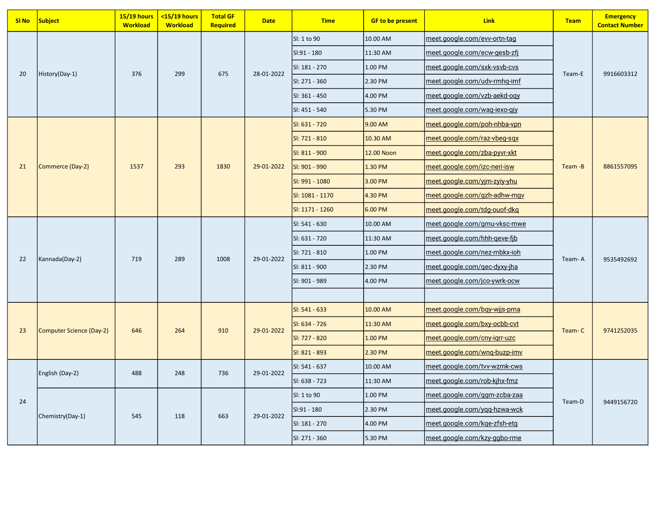| <b>SI No</b> | <b>Subject</b>                  | <b>15/19 hours</b><br><b>Workload</b> | <15/19 hours<br><b>Workload</b> | <b>Total GF</b><br>Required | <b>Date</b> | <b>Time</b>                                              | <b>GF to be present</b>      | <b>Link</b>                  | <b>Team</b> | <b>Emergency</b><br><b>Contact Number</b>                          |
|--------------|---------------------------------|---------------------------------------|---------------------------------|-----------------------------|-------------|----------------------------------------------------------|------------------------------|------------------------------|-------------|--------------------------------------------------------------------|
|              |                                 |                                       |                                 |                             |             | SI: 1 to 90                                              | 10.00 AM                     | meet.google.com/evv-ortn-tag |             |                                                                    |
| 20           |                                 |                                       |                                 |                             |             | SI:91 - 180                                              | 11:30 AM                     | meet.google.com/ecw-gesb-zfj |             |                                                                    |
|              | History(Day-1)                  | 376                                   | 299                             | 675                         | 28-01-2022  | SI: 181 - 270                                            | 1.00 PM                      | meet.google.com/sxk-vsvb-cvs |             | 9916603312<br>8861557095<br>9535492692<br>9741252035<br>9449156720 |
|              |                                 |                                       |                                 |                             |             | SI: 271 - 360                                            | 2.30 PM                      | meet.google.com/udv-rmhq-imf | Team-E      |                                                                    |
|              |                                 |                                       |                                 |                             |             | SI: 361 - 450                                            | 4.00 PM                      | meet.google.com/vzb-aekd-ogy |             |                                                                    |
|              |                                 |                                       |                                 |                             |             | SI: 451 - 540                                            | 5.30 PM                      | meet.google.com/wag-iexo-gjy |             |                                                                    |
|              |                                 |                                       |                                 |                             |             | SI: 631 - 720                                            | 9.00 AM                      | meet.google.com/poh-nhba-vpn |             |                                                                    |
|              |                                 |                                       |                                 |                             |             | SI: 721 - 810                                            | 10.30 AM                     | meet.google.com/raz-vbeg-sqx |             |                                                                    |
|              |                                 |                                       |                                 | 1830                        |             | SI: 811 - 900                                            | 12.00 Noon                   | meet.google.com/zba-pyvr-xkt |             |                                                                    |
| 21           | Commerce (Day-2)                | 1537                                  | 293                             |                             | 29-01-2022  | meet.google.com/izc-neri-isw<br>SI: 901 - 990<br>1.30 PM | Team -B                      |                              |             |                                                                    |
|              |                                 |                                       |                                 |                             |             | SI: 991 - 1080                                           | 3.00 PM                      | meet.google.com/yjm-zyiy-yhu |             |                                                                    |
|              |                                 |                                       |                                 |                             |             | SI: 1081 - 1170<br>4.30 PM                               | meet.google.com/gzh-adhw-mgv |                              |             |                                                                    |
|              |                                 |                                       |                                 |                             |             | SI: 1171 - 1260                                          | 6.00 PM                      | meet.google.com/tdg-ouof-dkg |             |                                                                    |
|              | Kannada(Day-2)                  |                                       | 289                             | 1008                        | 29-01-2022  | SI: 541 - 630                                            | 10.00 AM                     | meet.google.com/gmu-vksc-mwe | Team-A      |                                                                    |
|              |                                 |                                       |                                 |                             |             | SI: 631 - 720                                            | 11:30 AM                     | meet.google.com/hhh-qeve-fjb |             |                                                                    |
| 22           |                                 | 719                                   |                                 |                             |             | SI: 721 - 810                                            | 1.00 PM                      | meet.google.com/nez-mbkx-ioh |             |                                                                    |
|              |                                 |                                       |                                 |                             |             | SI: 811 - 900                                            | 2.30 PM                      | meet.google.com/gec-dyxy-jha |             |                                                                    |
|              |                                 |                                       |                                 |                             |             | SI: 901 - 989                                            | 4.00 PM                      | meet.google.com/jco-ywrk-ocw |             |                                                                    |
|              |                                 |                                       |                                 |                             |             |                                                          |                              |                              |             |                                                                    |
|              |                                 |                                       |                                 |                             | 29-01-2022  | SI: 541 - 633                                            | 10.00 AM                     | meet.google.com/bgy-wijs-pma |             |                                                                    |
| 23           | <b>Computer Science (Day-2)</b> |                                       | 264                             | 910                         |             | SI: 634 - 726                                            | 11:30 AM                     | meet.google.com/bxy-ocbb-cvt |             |                                                                    |
|              |                                 | 646                                   |                                 |                             |             | SI: 727 - 820                                            | 1.00 PM                      | meet.google.com/cny-igrr-uzc | Team-C      |                                                                    |
|              |                                 |                                       |                                 |                             |             | SI: 821 - 893                                            | 2.30 PM                      | meet.google.com/wnq-buzp-imv |             |                                                                    |
|              | English (Day-2)                 |                                       | 248                             | 736                         | 29-01-2022  | SI: 541 - 637                                            | 10.00 AM                     | meet.google.com/tvv-wzmk-cws |             |                                                                    |
|              |                                 | 488                                   |                                 |                             |             | SI: 638 - 723                                            | 11:30 AM                     | meet.google.com/rob-kjhx-fmz |             |                                                                    |
|              |                                 |                                       | 118                             | 663                         |             | SI: 1 to 90                                              | 1.00 PM                      | meet.google.com/ggm-zcba-zaa | Team-D      |                                                                    |
| 24           |                                 | 545                                   |                                 |                             | 29-01-2022  | SI:91 - 180                                              | 2.30 PM                      | meet.google.com/ygg-hzwa-wck |             |                                                                    |
|              | Chemistry(Day-1)                |                                       |                                 |                             |             | SI: 181 - 270                                            | 4.00 PM                      | meet.google.com/kge-zfsh-etg |             |                                                                    |
|              |                                 |                                       |                                 |                             |             | SI: 271 - 360                                            | 5.30 PM                      | meet.google.com/kzy-ggbo-rme |             |                                                                    |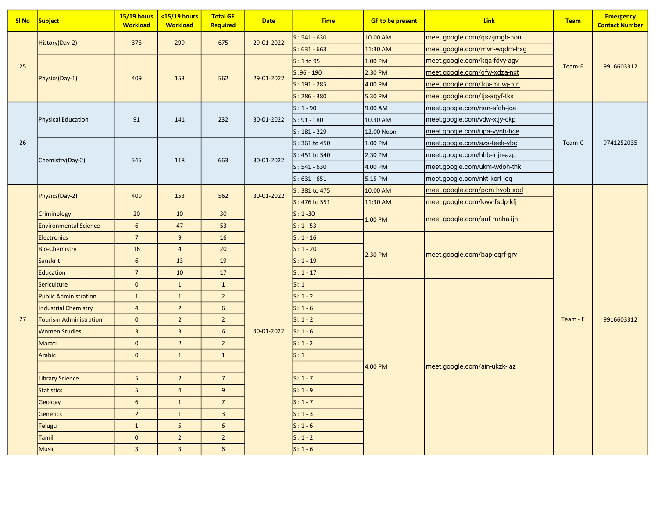|    | SI No Subject                 | <b>15/19 hours</b><br><b>Workload</b> | <15/19 hours<br><b>Workload</b> | <b>Total GF</b><br>Required | <b>Date</b> | <b>Time</b>    | <b>GF to be present</b> | <b>Link</b>                                                         | <b>Team</b> | <b>Emergency</b><br><b>Contact Number</b> |
|----|-------------------------------|---------------------------------------|---------------------------------|-----------------------------|-------------|----------------|-------------------------|---------------------------------------------------------------------|-------------|-------------------------------------------|
| 25 | History(Day-2)<br>376         |                                       | 299                             | 675                         |             | SI: 541 - 630  | 10.00 AM                | meet.google.com/gsz-jmgh-nou                                        |             |                                           |
|    |                               |                                       |                                 |                             | 29-01-2022  | SI: 631 - 663  | 11:30 AM                | meet.google.com/mvn-wqdm-hxg                                        |             |                                           |
|    |                               |                                       |                                 |                             |             | SI: 1 to 95    | 1.00 PM                 | meet.google.com/kqa-fdvy-agv                                        | Team-E      | 9916603312                                |
|    | Physics(Day-1)                | 409                                   | 153                             | 562                         |             | SI:96 - 190    | 2.30 PM                 | meet.google.com/gfw-xdza-nxt                                        |             |                                           |
|    |                               |                                       |                                 |                             | 29-01-2022  | SI: 191 - 285  | 4.00 PM                 | meet.google.com/fqx-muwj-ptn                                        |             |                                           |
|    |                               |                                       |                                 |                             |             | SI: 286 - 380  | 5.30 PM                 | meet.google.com/tjs-aqyf-tkx                                        |             |                                           |
|    |                               |                                       |                                 |                             |             | SI: 1 - 90     | 9.00 AM                 | meet.google.com/rsm-sfdh-jca                                        |             | 9741252035                                |
|    | Physical Education            | 91                                    | 141                             | 232                         | 30-01-2022  | SI: 91 - 180   | 10.30 AM                | meet.google.com/vdw-xtjy-ckp                                        |             |                                           |
|    |                               |                                       |                                 |                             |             | SI: 181 - 229  | 12.00 Noon              | meet.google.com/upa-vynb-hce                                        |             |                                           |
| 26 |                               |                                       |                                 |                             |             | SI: 361 to 450 | 1.00 PM                 | meet.google.com/azs-teek-vbc                                        | Team-C      |                                           |
|    | Chemistry(Day-2)              | 545                                   | 118                             | 663                         | 30-01-2022  | SI: 451 to 540 | 2.30 PM                 | meet.google.com/hhb-injn-azp                                        |             |                                           |
|    |                               |                                       |                                 |                             |             | SI: 541 - 630  | 4.00 PM                 | meet.google.com/ukm-wdoh-thk                                        |             |                                           |
|    |                               |                                       |                                 |                             |             | SI: 631 - 651  | 5.15 PM                 | meet.google.com/nkt-kcrt-jeq                                        |             |                                           |
|    | Physics(Day-2)                | 409                                   | 153                             | 562                         | 30-01-2022  | SI: 381 to 475 | 10.00 AM                | meet.google.com/pcm-hyob-xod                                        |             |                                           |
|    |                               |                                       |                                 |                             |             | SI: 476 to 551 | 11:30 AM                | meet.google.com/kwv-fsdp-kfj<br><u>meet.google.com/auf-mnha-ijh</u> |             |                                           |
|    | <b>Criminology</b>            | 20                                    | 10                              | 30 <sup>°</sup>             |             | SI: 1 -30      | 1.00 PM                 |                                                                     | $Team - E$  |                                           |
|    | <b>Environmental Science</b>  | $6\phantom{1}6$                       | 47                              | 53                          |             | $SI: 1 - 53$   |                         |                                                                     |             |                                           |
|    | <b>Electronics</b>            | $\overline{7}$                        | 9                               | 16                          |             | $SI: 1 - 16$   | 2.30 PM                 | meet.google.com/bap-cqrf-grv                                        |             |                                           |
|    | <b>Bio-Chemistry</b>          | 16                                    | $\overline{4}$                  | 20                          |             | $SI: 1 - 20$   |                         |                                                                     |             |                                           |
|    | Sanskrit                      | $6\phantom{1}6$                       | 13                              | 19                          |             | SI: 1 - 19     |                         |                                                                     |             |                                           |
|    | Education                     | $\overline{7}$                        | 10                              | 17                          |             | $SI: 1 - 17$   |                         |                                                                     |             | 9916603312                                |
|    | Sericulture                   | $\mathbf{0}$                          | $\mathbf{1}$                    | $\mathbf{1}$                |             | S: 1           |                         |                                                                     |             |                                           |
|    | <b>Public Administration</b>  | $\mathbf{1}$                          | $\mathbf{1}$                    | $\overline{2}$              |             | $SI: 1 - 2$    |                         |                                                                     |             |                                           |
|    | <b>Industrial Chemistry</b>   | $\overline{a}$                        | $\overline{2}$                  | 6                           |             | $SI: 1 - 6$    |                         |                                                                     |             |                                           |
| 27 | <b>Tourism Administration</b> | $\mathbf 0$                           | $\overline{2}$                  | $\overline{2}$              |             | $SI: 1 - 2$    |                         |                                                                     |             |                                           |
|    | <b>Women Studies</b>          | $\overline{3}$                        | $\mathbf{3}$                    | $6\phantom{1}$              | 30-01-2022  | $SI: 1 - 6$    |                         |                                                                     |             |                                           |
|    | Marati                        | $\mathbf{0}$                          | $\overline{2}$                  | $\overline{2}$              |             | $SI: 1 - 2$    |                         |                                                                     |             |                                           |
|    | Arabic                        | $\mathbf{0}$                          | $\mathbf{1}$                    | $\mathbf{1}$                |             | SI: 1          |                         |                                                                     |             |                                           |
|    |                               |                                       |                                 |                             |             |                | 4.00 PM                 | meet.google.com/ain-ukzk-iaz                                        |             |                                           |
|    | <b>Library Science</b>        | 5 <sub>5</sub>                        | $2^{\circ}$                     | 7 <sup>7</sup>              |             | $SI: 1 - 7$    |                         |                                                                     |             |                                           |
|    | <b>Statistics</b>             | 5                                     | $\overline{4}$                  | 9                           |             | $SI: 1 - 9$    |                         |                                                                     |             |                                           |
|    | Geology                       | $6\overline{6}$                       | $\mathbf{1}$                    | 7 <sup>7</sup>              |             | $SI: 1 - 7$    |                         |                                                                     |             |                                           |
|    | <b>Genetics</b>               | $\overline{2}$                        | $\mathbf{1}$                    | $\overline{3}$              |             | $SI: 1 - 3$    |                         |                                                                     |             |                                           |
|    | <b>Telugu</b>                 | $\mathbf{1}$                          | 5 <sup>5</sup>                  | $6\overline{6}$             |             | $SI: 1 - 6$    |                         |                                                                     |             |                                           |
|    | <b>Tamil</b>                  | $\mathbf{0}$                          | $\overline{2}$                  | $2^{\circ}$                 |             | $SI: 1 - 2$    |                         |                                                                     |             |                                           |
|    | Music                         | $\overline{3}$                        | $\overline{3}$                  | $6\overline{6}$             |             | $SI: 1 - 6$    |                         |                                                                     |             |                                           |